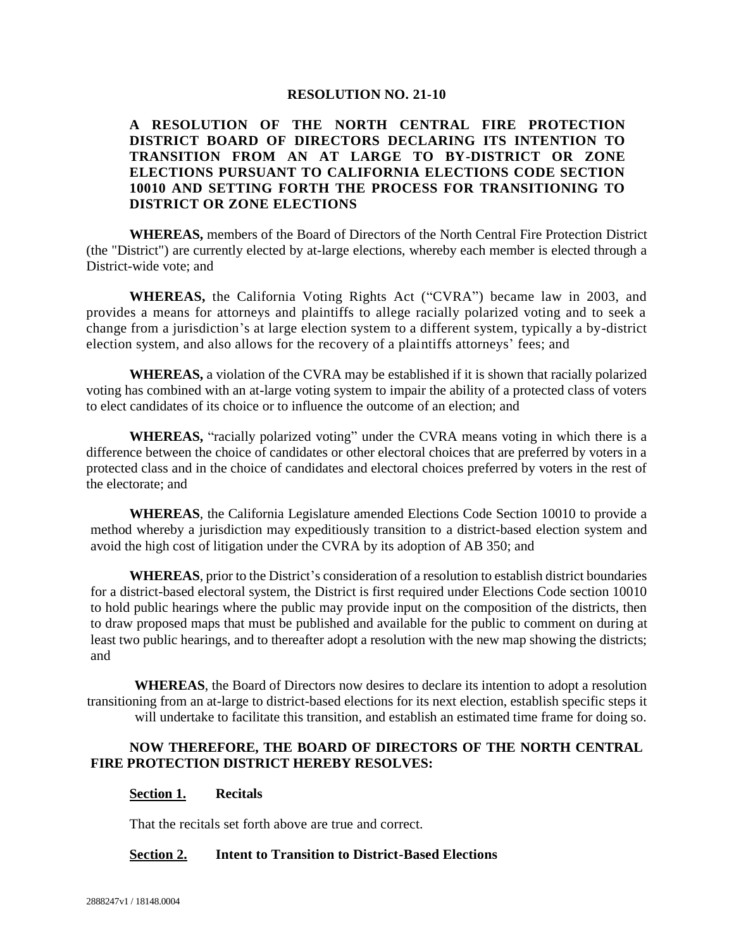### **RESOLUTION NO. 21-10**

# **A RESOLUTION OF THE NORTH CENTRAL FIRE PROTECTION DISTRICT BOARD OF DIRECTORS DECLARING ITS INTENTION TO TRANSITION FROM AN AT LARGE TO BY-DISTRICT OR ZONE ELECTIONS PURSUANT TO CALIFORNIA ELECTIONS CODE SECTION 10010 AND SETTING FORTH THE PROCESS FOR TRANSITIONING TO DISTRICT OR ZONE ELECTIONS**

**WHEREAS,** members of the Board of Directors of the North Central Fire Protection District (the "District") are currently elected by at-large elections, whereby each member is elected through a District-wide vote; and

**WHEREAS,** the California Voting Rights Act ("CVRA") became law in 2003, and provides a means for attorneys and plaintiffs to allege racially polarized voting and to seek a change from a jurisdiction's at large election system to a different system, typically a by-district election system, and also allows for the recovery of a plaintiffs attorneys' fees; and

**WHEREAS,** a violation of the CVRA may be established if it is shown that racially polarized voting has combined with an at-large voting system to impair the ability of a protected class of voters to elect candidates of its choice or to influence the outcome of an election; and

**WHEREAS,** "racially polarized voting" under the CVRA means voting in which there is a difference between the choice of candidates or other electoral choices that are preferred by voters in a protected class and in the choice of candidates and electoral choices preferred by voters in the rest of the electorate; and

**WHEREAS**, the California Legislature amended Elections Code Section 10010 to provide a method whereby a jurisdiction may expeditiously transition to a district-based election system and avoid the high cost of litigation under the CVRA by its adoption of AB 350; and

**WHEREAS**, prior to the District's consideration of a resolution to establish district boundaries for a district-based electoral system, the District is first required under Elections Code section 10010 to hold public hearings where the public may provide input on the composition of the districts, then to draw proposed maps that must be published and available for the public to comment on during at least two public hearings, and to thereafter adopt a resolution with the new map showing the districts; and

**WHEREAS**, the Board of Directors now desires to declare its intention to adopt a resolution transitioning from an at-large to district-based elections for its next election, establish specific steps it will undertake to facilitate this transition, and establish an estimated time frame for doing so.

# **NOW THEREFORE, THE BOARD OF DIRECTORS OF THE NORTH CENTRAL FIRE PROTECTION DISTRICT HEREBY RESOLVES:**

### **Section 1. Recitals**

That the recitals set forth above are true and correct.

### **Section 2. Intent to Transition to District-Based Elections**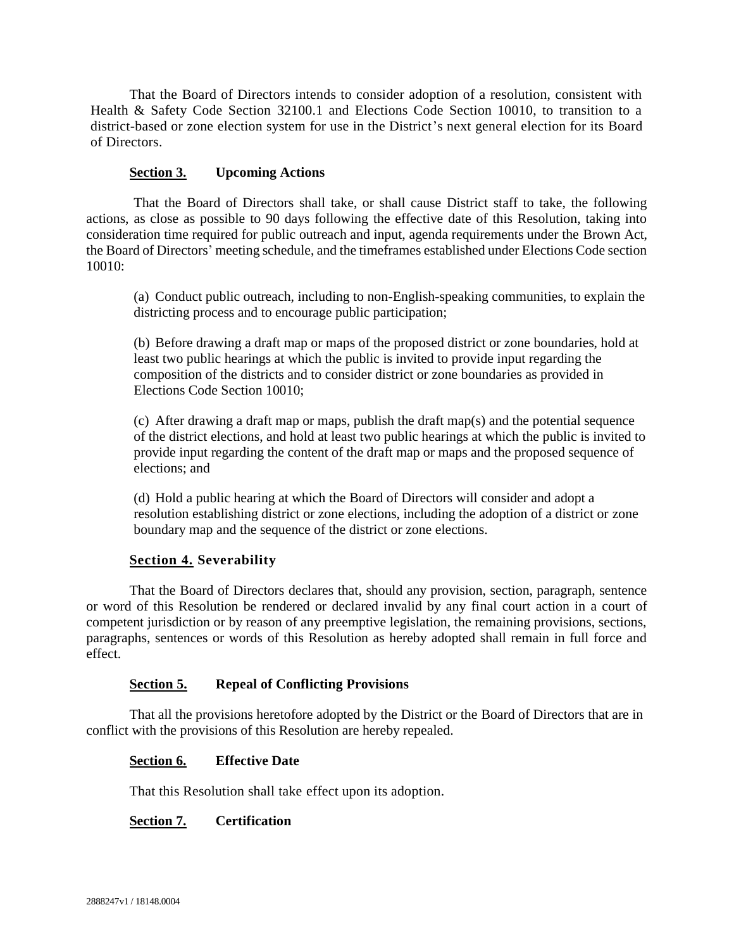That the Board of Directors intends to consider adoption of a resolution, consistent with Health & Safety Code Section 32100.1 and Elections Code Section 10010, to transition to a district-based or zone election system for use in the District's next general election for its Board of Directors.

#### **Section 3. Upcoming Actions**

That the Board of Directors shall take, or shall cause District staff to take, the following actions, as close as possible to 90 days following the effective date of this Resolution, taking into consideration time required for public outreach and input, agenda requirements under the Brown Act, the Board of Directors' meeting schedule, and the timeframes established under Elections Code section 10010:

(a) Conduct public outreach, including to non-English-speaking communities, to explain the districting process and to encourage public participation;

(b) Before drawing a draft map or maps of the proposed district or zone boundaries, hold at least two public hearings at which the public is invited to provide input regarding the composition of the districts and to consider district or zone boundaries as provided in Elections Code Section 10010;

(c) After drawing a draft map or maps, publish the draft map(s) and the potential sequence of the district elections, and hold at least two public hearings at which the public is invited to provide input regarding the content of the draft map or maps and the proposed sequence of elections; and

(d) Hold a public hearing at which the Board of Directors will consider and adopt a resolution establishing district or zone elections, including the adoption of a district or zone boundary map and the sequence of the district or zone elections.

### **Section 4. Severability**

That the Board of Directors declares that, should any provision, section, paragraph, sentence or word of this Resolution be rendered or declared invalid by any final court action in a court of competent jurisdiction or by reason of any preemptive legislation, the remaining provisions, sections, paragraphs, sentences or words of this Resolution as hereby adopted shall remain in full force and effect.

### **Section 5. Repeal of Conflicting Provisions**

That all the provisions heretofore adopted by the District or the Board of Directors that are in conflict with the provisions of this Resolution are hereby repealed.

#### **Section 6. Effective Date**

That this Resolution shall take effect upon its adoption.

**Section 7. Certification**